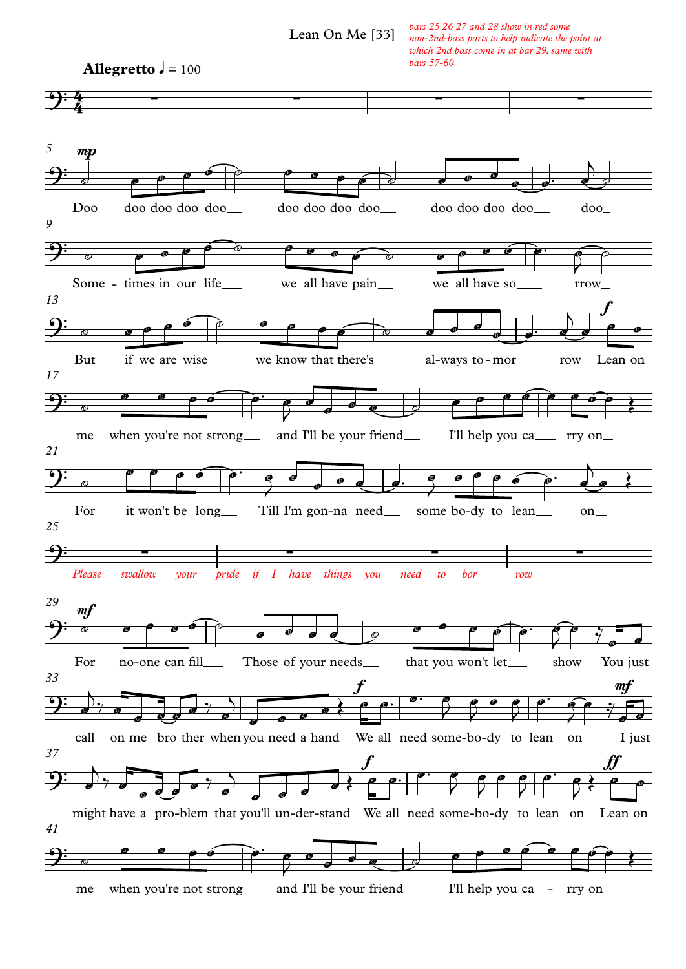Lean On Me [33]

*bars 25 26 27 and 28 show in red some non-2nd-bass parts to help indicate the point at which 2nd bass come in at bar 29. same with bars 57-60*